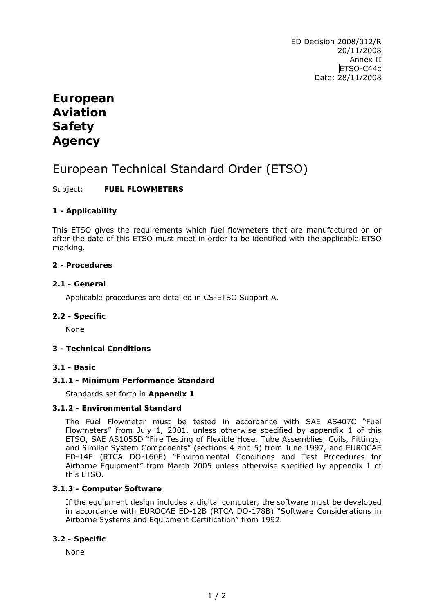ED Decision 2008/012/R 20/11/2008 Annex II ETSO-C44c Date: 28/11/2008

## **European Aviation Safety Agency**

# European Technical Standard Order (ETSO)

## Subject: **FUEL FLOWMETERS**

## **1 - Applicability**

This ETSO gives the requirements which fuel flowmeters that are manufactured on or after the date of this ETSO must meet in order to be identified with the applicable ETSO marking.

#### **2 - Procedures**

#### **2.1 - General**

Applicable procedures are detailed in CS-ETSO Subpart A.

#### **2.2 - Specific**

None

#### **3 - Technical Conditions**

#### **3.1 - Basic**

#### **3.1.1 - Minimum Performance Standard**

Standards set forth in **Appendix 1** 

#### **3.1.2 - Environmental Standard**

The Fuel Flowmeter must be tested in accordance with SAE AS407C "*Fuel Flowmeters"* from July 1, 2001, unless otherwise specified by appendix 1 of this ETSO, SAE AS1055D "*Fire Testing of Flexible Hose, Tube Assemblies, Coils, Fittings, and Similar System Components"* (sections 4 and 5) from June 1997, and EUROCAE ED-14E (RTCA DO-160E) "*Environmental Conditions and Test Procedures for Airborne Equipment"* from March 2005 unless otherwise specified by appendix 1 of this ETSO.

#### **3.1.3 - Computer Software**

If the equipment design includes a digital computer, the software must be developed in accordance with EUROCAE ED-12B (RTCA DO-178B) "*Software Considerations in Airborne Systems and Equipment Certification*" from 1992.

#### **3.2 - Specific**

None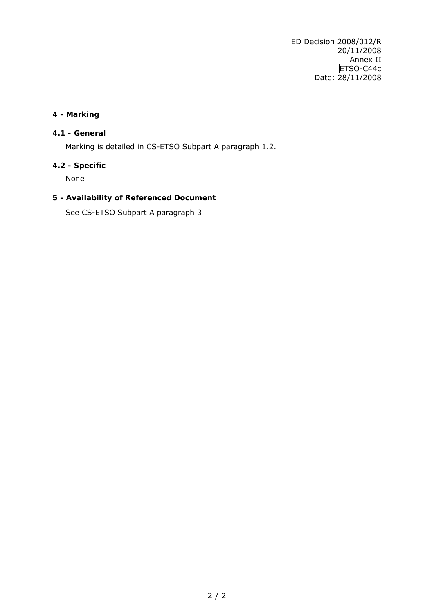ED Decision 2008/012/R 20/11/2008 Annex II ETSO-C44c Date: 28/11/2008

## **4 - Marking**

#### **4.1 - General**

Marking is detailed in CS-ETSO Subpart A paragraph 1.2.

## **4.2 - Specific**

None

## **5 - Availability of Referenced Document**

See CS-ETSO Subpart A paragraph 3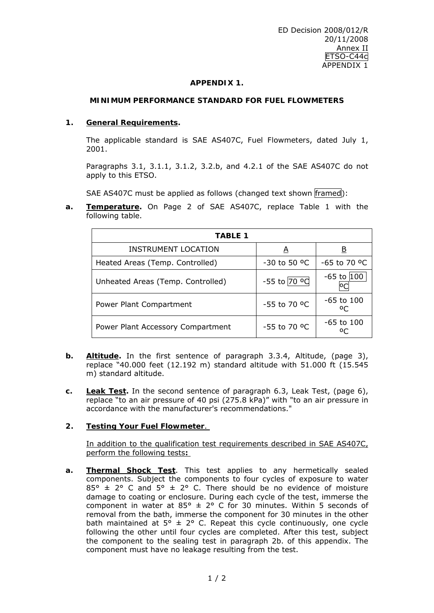#### **APPENDIX 1.**

#### **MINIMUM PERFORMANCE STANDARD FOR FUEL FLOWMETERS**

#### **1. General Requirements.**

 The applicable standard is SAE AS407C, *Fuel Flowmeters*, dated July 1, 2001.

 Paragraphs 3.1, 3.1.1, 3.1.2, 3.2.b, and 4.2.1 of the SAE AS407C do not apply to this ETSO.

SAE AS407C must be applied as follows (changed text shown framed):

**a. Temperature.** On Page 2 of SAE AS407C, replace Table 1 with the following table.

| <b>TABLE 1</b>                    |              |                           |  |  |  |
|-----------------------------------|--------------|---------------------------|--|--|--|
| <b>INSTRUMENT LOCATION</b>        | A            | $\overline{\mathsf{B}}$   |  |  |  |
| Heated Areas (Temp. Controlled)   | -30 to 50 °C | -65 to 70 °C              |  |  |  |
| Unheated Areas (Temp. Controlled) | -55 to 70 °C | $-65$ to $ 100 $          |  |  |  |
| Power Plant Compartment           | -55 to 70 °C | $-65$ to $100$<br>$\circ$ |  |  |  |
| Power Plant Accessory Compartment | -55 to 70 °C | $-65$ to $100$            |  |  |  |

- **b. Altitude.** In the first sentence of paragraph 3.3.4, Altitude, (page 3), replace "40.000 feet (12.192 m) standard altitude with 51.000 ft (15.545 m) standard altitude.
- **c. Leak Test.** In the second sentence of paragraph 6.3, Leak Test, (page 6), replace "to an air pressure of 40 psi (275.8 kPa)" with "to an air pressure in accordance with the manufacturer's recommendations."

#### **2. Testing Your Fuel Flowmeter**.

In addition to the qualification test requirements described in SAE AS407C, perform the following tests**:** 

**a. Thermal Shock Test**. This test applies to any hermetically sealed components. Subject the components to four cycles of exposure to water 85°  $\pm$  2° C and 5°  $\pm$  2° C. There should be no evidence of moisture damage to coating or enclosure. During each cycle of the test, immerse the component in water at  $85^{\circ}$  ± 2° C for 30 minutes. Within 5 seconds of removal from the bath, immerse the component for 30 minutes in the other bath maintained at  $5^\circ \pm 2^\circ$  C. Repeat this cycle continuously, one cycle following the other until four cycles are completed. After this test, subject the component to the sealing test in paragraph 2b. of this appendix. The component must have no leakage resulting from the test.